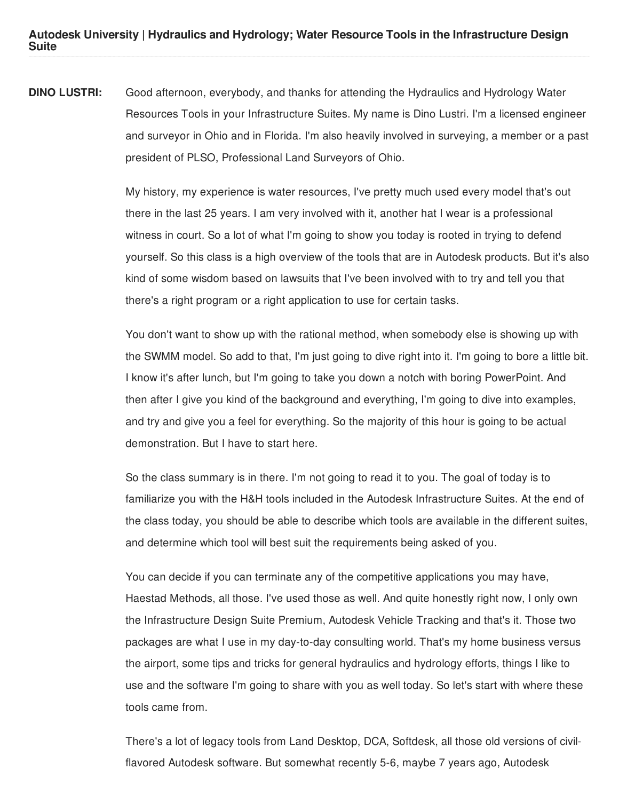**Autodesk University | Hydraulics and Hydrology; Water Resource Tools in the Infrastructure Design Suite**

**DINO LUSTRI:** Good afternoon, everybody, and thanks for attending the Hydraulics and Hydrology Water Resources Tools in your Infrastructure Suites. My name is Dino Lustri. I'm a licensed engineer and surveyor in Ohio and in Florida. I'm also heavily involved in surveying, a member or a past president of PLSO, Professional Land Surveyors of Ohio.

> My history, my experience is water resources, I've pretty much used every model that's out there in the last 25 years. I am very involved with it, another hat I wear is a professional witness in court. So a lot of what I'm going to show you today is rooted in trying to defend yourself. So this class is a high overview of the tools that are in Autodesk products. But it's also kind of some wisdom based on lawsuits that I've been involved with to try and tell you that there's a right program or a right application to use for certain tasks.

> You don't want to show up with the rational method, when somebody else is showing up with the SWMM model. So add to that, I'm just going to dive right into it. I'm going to bore a little bit. I know it's after lunch, but I'm going to take you down a notch with boring PowerPoint. And then after I give you kind of the background and everything, I'm going to dive into examples, and try and give you a feel for everything. So the majority of this hour is going to be actual demonstration. But I have to start here.

> So the class summary is in there. I'm not going to read it to you. The goal of today is to familiarize you with the H&H tools included in the Autodesk Infrastructure Suites. At the end of the class today, you should be able to describe which tools are available in the different suites, and determine which tool will best suit the requirements being asked of you.

> You can decide if you can terminate any of the competitive applications you may have, Haestad Methods, all those. I've used those as well. And quite honestly right now, I only own the Infrastructure Design Suite Premium, Autodesk Vehicle Tracking and that's it. Those two packages are what I use in my day-to-day consulting world. That's my home business versus the airport, some tips and tricks for general hydraulics and hydrology efforts, things I like to use and the software I'm going to share with you as well today. So let's start with where these tools came from.

> There's a lot of legacy tools from Land Desktop, DCA, Softdesk, all those old versions of civilflavored Autodesk software. But somewhat recently 5-6, maybe 7 years ago, Autodesk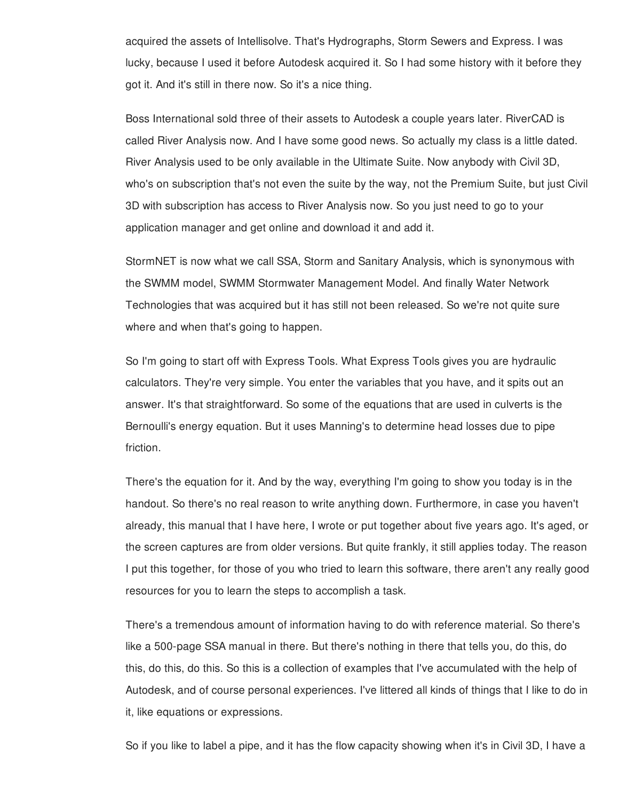acquired the assets of Intellisolve. That's Hydrographs, Storm Sewers and Express. I was lucky, because I used it before Autodesk acquired it. So I had some history with it before they got it. And it's still in there now. So it's a nice thing.

Boss International sold three of their assets to Autodesk a couple years later. RiverCAD is called River Analysis now. And I have some good news. So actually my class is a little dated. River Analysis used to be only available in the Ultimate Suite. Now anybody with Civil 3D, who's on subscription that's not even the suite by the way, not the Premium Suite, but just Civil 3D with subscription has access to River Analysis now. So you just need to go to your application manager and get online and download it and add it.

StormNET is now what we call SSA, Storm and Sanitary Analysis, which is synonymous with the SWMM model, SWMM Stormwater Management Model. And finally Water Network Technologies that was acquired but it has still not been released. So we're not quite sure where and when that's going to happen.

So I'm going to start off with Express Tools. What Express Tools gives you are hydraulic calculators. They're very simple. You enter the variables that you have, and it spits out an answer. It's that straightforward. So some of the equations that are used in culverts is the Bernoulli's energy equation. But it uses Manning's to determine head losses due to pipe friction.

There's the equation for it. And by the way, everything I'm going to show you today is in the handout. So there's no real reason to write anything down. Furthermore, in case you haven't already, this manual that I have here, I wrote or put together about five years ago. It's aged, or the screen captures are from older versions. But quite frankly, it still applies today. The reason I put this together, for those of you who tried to learn this software, there aren't any really good resources for you to learn the steps to accomplish a task.

There's a tremendous amount of information having to do with reference material. So there's like a 500-page SSA manual in there. But there's nothing in there that tells you, do this, do this, do this, do this. So this is a collection of examples that I've accumulated with the help of Autodesk, and of course personal experiences. I've littered all kinds of things that I like to do in it, like equations or expressions.

So if you like to label a pipe, and it has the flow capacity showing when it's in Civil 3D, I have a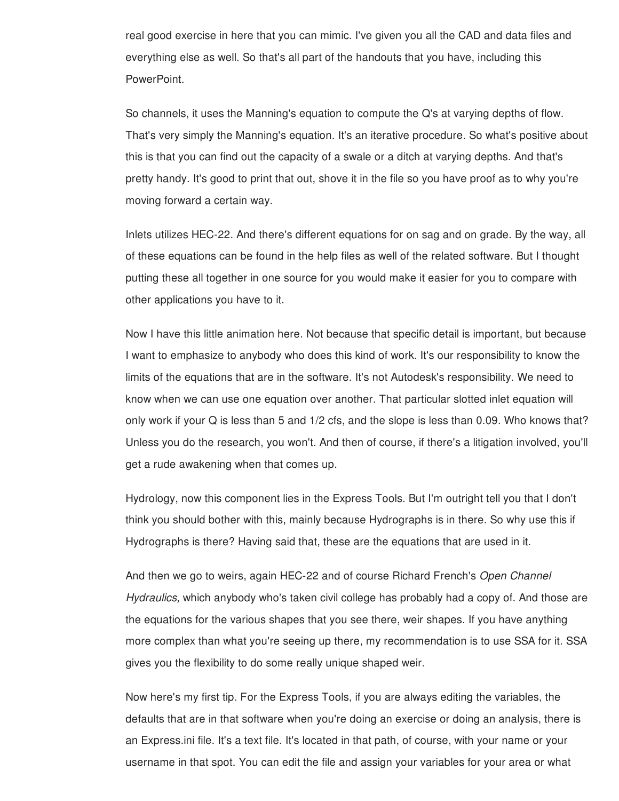real good exercise in here that you can mimic. I've given you all the CAD and data files and everything else as well. So that's all part of the handouts that you have, including this PowerPoint.

So channels, it uses the Manning's equation to compute the Q's at varying depths of flow. That's very simply the Manning's equation. It's an iterative procedure. So what's positive about this is that you can find out the capacity of a swale or a ditch at varying depths. And that's pretty handy. It's good to print that out, shove it in the file so you have proof as to why you're moving forward a certain way.

Inlets utilizes HEC-22. And there's different equations for on sag and on grade. By the way, all of these equations can be found in the help files as well of the related software. But I thought putting these all together in one source for you would make it easier for you to compare with other applications you have to it.

Now I have this little animation here. Not because that specific detail is important, but because I want to emphasize to anybody who does this kind of work. It's our responsibility to know the limits of the equations that are in the software. It's not Autodesk's responsibility. We need to know when we can use one equation over another. That particular slotted inlet equation will only work if your Q is less than 5 and 1/2 cfs, and the slope is less than 0.09. Who knows that? Unless you do the research, you won't. And then of course, if there's a litigation involved, you'll get a rude awakening when that comes up.

Hydrology, now this component lies in the Express Tools. But I'm outright tell you that I don't think you should bother with this, mainly because Hydrographs is in there. So why use this if Hydrographs is there? Having said that, these are the equations that are used in it.

And then we go to weirs, again HEC-22 and of course Richard French's *Open Channel Hydraulics,* which anybody who's taken civil college has probably had a copy of. And those are the equations for the various shapes that you see there, weir shapes. If you have anything more complex than what you're seeing up there, my recommendation is to use SSA for it. SSA gives you the flexibility to do some really unique shaped weir.

Now here's my first tip. For the Express Tools, if you are always editing the variables, the defaults that are in that software when you're doing an exercise or doing an analysis, there is an Express.ini file. It's a text file. It's located in that path, of course, with your name or your username in that spot. You can edit the file and assign your variables for your area or what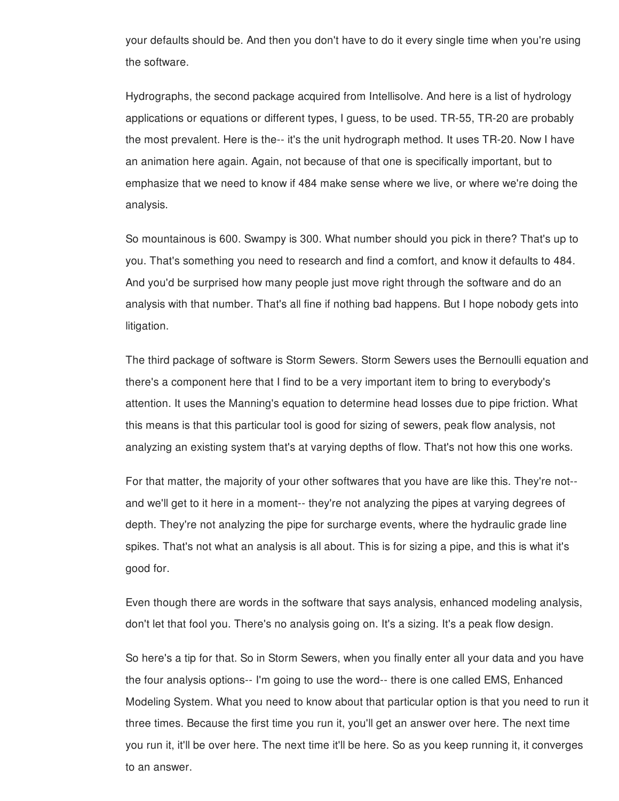your defaults should be. And then you don't have to do it every single time when you're using the software.

Hydrographs, the second package acquired from Intellisolve. And here is a list of hydrology applications or equations or different types, I guess, to be used. TR-55, TR-20 are probably the most prevalent. Here is the-- it's the unit hydrograph method. It uses TR-20. Now I have an animation here again. Again, not because of that one is specifically important, but to emphasize that we need to know if 484 make sense where we live, or where we're doing the analysis.

So mountainous is 600. Swampy is 300. What number should you pick in there? That's up to you. That's something you need to research and find a comfort, and know it defaults to 484. And you'd be surprised how many people just move right through the software and do an analysis with that number. That's all fine if nothing bad happens. But I hope nobody gets into litigation.

The third package of software is Storm Sewers. Storm Sewers uses the Bernoulli equation and there's a component here that I find to be a very important item to bring to everybody's attention. It uses the Manning's equation to determine head losses due to pipe friction. What this means is that this particular tool is good for sizing of sewers, peak flow analysis, not analyzing an existing system that's at varying depths of flow. That's not how this one works.

For that matter, the majority of your other softwares that you have are like this. They're not- and we'll get to it here in a moment-- they're not analyzing the pipes at varying degrees of depth. They're not analyzing the pipe for surcharge events, where the hydraulic grade line spikes. That's not what an analysis is all about. This is for sizing a pipe, and this is what it's good for.

Even though there are words in the software that says analysis, enhanced modeling analysis, don't let that fool you. There's no analysis going on. It's a sizing. It's a peak flow design.

So here's a tip for that. So in Storm Sewers, when you finally enter all your data and you have the four analysis options-- I'm going to use the word-- there is one called EMS, Enhanced Modeling System. What you need to know about that particular option is that you need to run it three times. Because the first time you run it, you'll get an answer over here. The next time you run it, it'll be over here. The next time it'll be here. So as you keep running it, it converges to an answer.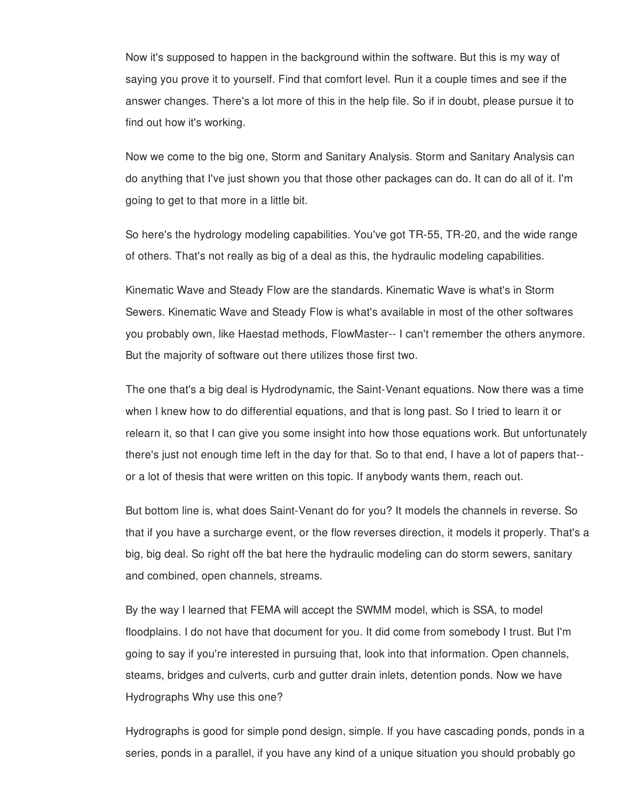Now it's supposed to happen in the background within the software. But this is my way of saying you prove it to yourself. Find that comfort level. Run it a couple times and see if the answer changes. There's a lot more of this in the help file. So if in doubt, please pursue it to find out how it's working.

Now we come to the big one, Storm and Sanitary Analysis. Storm and Sanitary Analysis can do anything that I've just shown you that those other packages can do. It can do all of it. I'm going to get to that more in a little bit.

So here's the hydrology modeling capabilities. You've got TR-55, TR-20, and the wide range of others. That's not really as big of a deal as this, the hydraulic modeling capabilities.

Kinematic Wave and Steady Flow are the standards. Kinematic Wave is what's in Storm Sewers. Kinematic Wave and Steady Flow is what's available in most of the other softwares you probably own, like Haestad methods, FlowMaster-- I can't remember the others anymore. But the majority of software out there utilizes those first two.

The one that's a big deal is Hydrodynamic, the Saint-Venant equations. Now there was a time when I knew how to do differential equations, and that is long past. So I tried to learn it or relearn it, so that I can give you some insight into how those equations work. But unfortunately there's just not enough time left in the day for that. So to that end, I have a lot of papers that- or a lot of thesis that were written on this topic. If anybody wants them, reach out.

But bottom line is, what does Saint-Venant do for you? It models the channels in reverse. So that if you have a surcharge event, or the flow reverses direction, it models it properly. That's a big, big deal. So right off the bat here the hydraulic modeling can do storm sewers, sanitary and combined, open channels, streams.

By the way I learned that FEMA will accept the SWMM model, which is SSA, to model floodplains. I do not have that document for you. It did come from somebody I trust. But I'm going to say if you're interested in pursuing that, look into that information. Open channels, steams, bridges and culverts, curb and gutter drain inlets, detention ponds. Now we have Hydrographs Why use this one?

Hydrographs is good for simple pond design, simple. If you have cascading ponds, ponds in a series, ponds in a parallel, if you have any kind of a unique situation you should probably go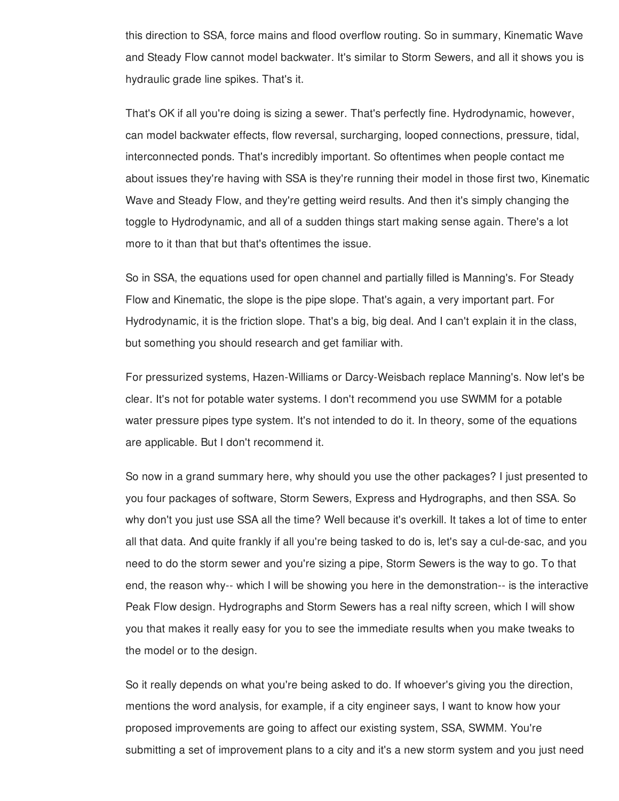this direction to SSA, force mains and flood overflow routing. So in summary, Kinematic Wave and Steady Flow cannot model backwater. It's similar to Storm Sewers, and all it shows you is hydraulic grade line spikes. That's it.

That's OK if all you're doing is sizing a sewer. That's perfectly fine. Hydrodynamic, however, can model backwater effects, flow reversal, surcharging, looped connections, pressure, tidal, interconnected ponds. That's incredibly important. So oftentimes when people contact me about issues they're having with SSA is they're running their model in those first two, Kinematic Wave and Steady Flow, and they're getting weird results. And then it's simply changing the toggle to Hydrodynamic, and all of a sudden things start making sense again. There's a lot more to it than that but that's oftentimes the issue.

So in SSA, the equations used for open channel and partially filled is Manning's. For Steady Flow and Kinematic, the slope is the pipe slope. That's again, a very important part. For Hydrodynamic, it is the friction slope. That's a big, big deal. And I can't explain it in the class, but something you should research and get familiar with.

For pressurized systems, Hazen-Williams or Darcy-Weisbach replace Manning's. Now let's be clear. It's not for potable water systems. I don't recommend you use SWMM for a potable water pressure pipes type system. It's not intended to do it. In theory, some of the equations are applicable. But I don't recommend it.

So now in a grand summary here, why should you use the other packages? I just presented to you four packages of software, Storm Sewers, Express and Hydrographs, and then SSA. So why don't you just use SSA all the time? Well because it's overkill. It takes a lot of time to enter all that data. And quite frankly if all you're being tasked to do is, let's say a cul-de-sac, and you need to do the storm sewer and you're sizing a pipe, Storm Sewers is the way to go. To that end, the reason why-- which I will be showing you here in the demonstration-- is the interactive Peak Flow design. Hydrographs and Storm Sewers has a real nifty screen, which I will show you that makes it really easy for you to see the immediate results when you make tweaks to the model or to the design.

So it really depends on what you're being asked to do. If whoever's giving you the direction, mentions the word analysis, for example, if a city engineer says, I want to know how your proposed improvements are going to affect our existing system, SSA, SWMM. You're submitting a set of improvement plans to a city and it's a new storm system and you just need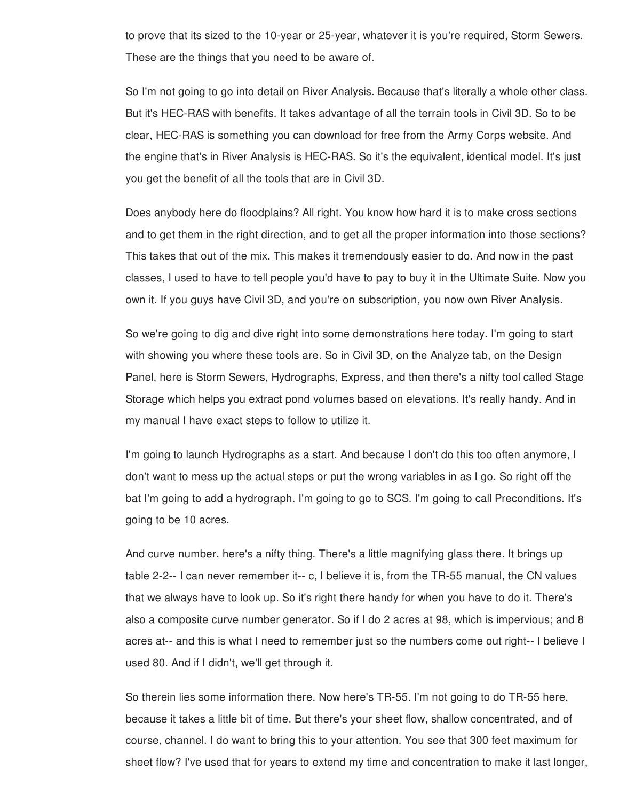to prove that its sized to the 10-year or 25-year, whatever it is you're required, Storm Sewers. These are the things that you need to be aware of.

So I'm not going to go into detail on River Analysis. Because that's literally a whole other class. But it's HEC-RAS with benefits. It takes advantage of all the terrain tools in Civil 3D. So to be clear, HEC-RAS is something you can download for free from the Army Corps website. And the engine that's in River Analysis is HEC-RAS. So it's the equivalent, identical model. It's just you get the benefit of all the tools that are in Civil 3D.

Does anybody here do floodplains? All right. You know how hard it is to make cross sections and to get them in the right direction, and to get all the proper information into those sections? This takes that out of the mix. This makes it tremendously easier to do. And now in the past classes, I used to have to tell people you'd have to pay to buy it in the Ultimate Suite. Now you own it. If you guys have Civil 3D, and you're on subscription, you now own River Analysis.

So we're going to dig and dive right into some demonstrations here today. I'm going to start with showing you where these tools are. So in Civil 3D, on the Analyze tab, on the Design Panel, here is Storm Sewers, Hydrographs, Express, and then there's a nifty tool called Stage Storage which helps you extract pond volumes based on elevations. It's really handy. And in my manual I have exact steps to follow to utilize it.

I'm going to launch Hydrographs as a start. And because I don't do this too often anymore, I don't want to mess up the actual steps or put the wrong variables in as I go. So right off the bat I'm going to add a hydrograph. I'm going to go to SCS. I'm going to call Preconditions. It's going to be 10 acres.

And curve number, here's a nifty thing. There's a little magnifying glass there. It brings up table 2-2-- I can never remember it-- c, I believe it is, from the TR-55 manual, the CN values that we always have to look up. So it's right there handy for when you have to do it. There's also a composite curve number generator. So if I do 2 acres at 98, which is impervious; and 8 acres at-- and this is what I need to remember just so the numbers come out right-- I believe I used 80. And if I didn't, we'll get through it.

So therein lies some information there. Now here's TR-55. I'm not going to do TR-55 here, because it takes a little bit of time. But there's your sheet flow, shallow concentrated, and of course, channel. I do want to bring this to your attention. You see that 300 feet maximum for sheet flow? I've used that for years to extend my time and concentration to make it last longer,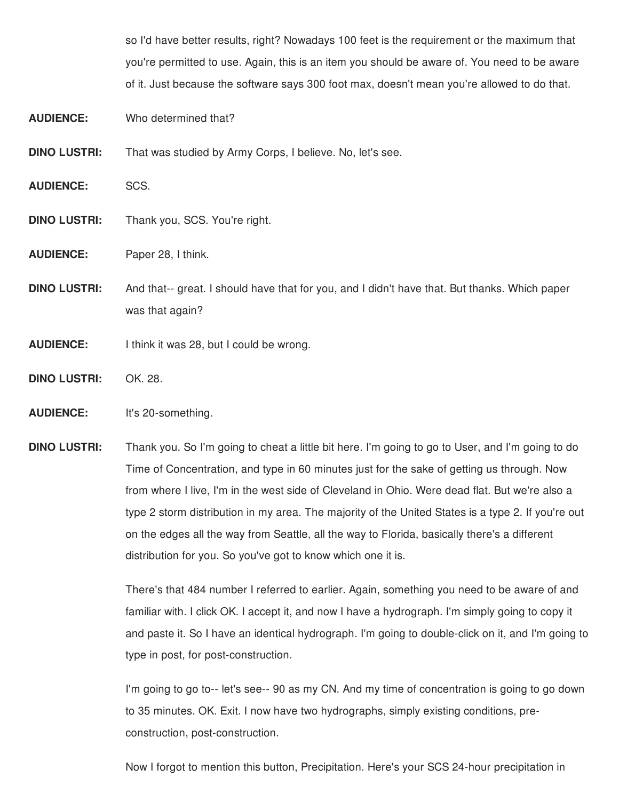so I'd have better results, right? Nowadays 100 feet is the requirement or the maximum that you're permitted to use. Again, this is an item you should be aware of. You need to be aware of it. Just because the software says 300 foot max, doesn't mean you're allowed to do that.

- **AUDIENCE:** Who determined that?
- **DINO LUSTRI:** That was studied by Army Corps, I believe. No, let's see.
- **AUDIENCE:** SCS.
- **DINO LUSTRI:** Thank you, SCS. You're right.
- **AUDIENCE:** Paper 28, I think.
- **DINO LUSTRI:** And that-- great. I should have that for you, and I didn't have that. But thanks. Which paper was that again?
- **AUDIENCE:** I think it was 28, but I could be wrong.
- **DINO LUSTRI:** OK. 28.

## **AUDIENCE:** It's 20-something.

**DINO LUSTRI:** Thank you. So I'm going to cheat a little bit here. I'm going to go to User, and I'm going to do Time of Concentration, and type in 60 minutes just for the sake of getting us through. Now from where I live, I'm in the west side of Cleveland in Ohio. Were dead flat. But we're also a type 2 storm distribution in my area. The majority of the United States is a type 2. If you're out on the edges all the way from Seattle, all the way to Florida, basically there's a different distribution for you. So you've got to know which one it is.

> There's that 484 number I referred to earlier. Again, something you need to be aware of and familiar with. I click OK. I accept it, and now I have a hydrograph. I'm simply going to copy it and paste it. So I have an identical hydrograph. I'm going to double-click on it, and I'm going to type in post, for post-construction.

> I'm going to go to-- let's see-- 90 as my CN. And my time of concentration is going to go down to 35 minutes. OK. Exit. I now have two hydrographs, simply existing conditions, preconstruction, post-construction.

Now I forgot to mention this button, Precipitation. Here's your SCS 24-hour precipitation in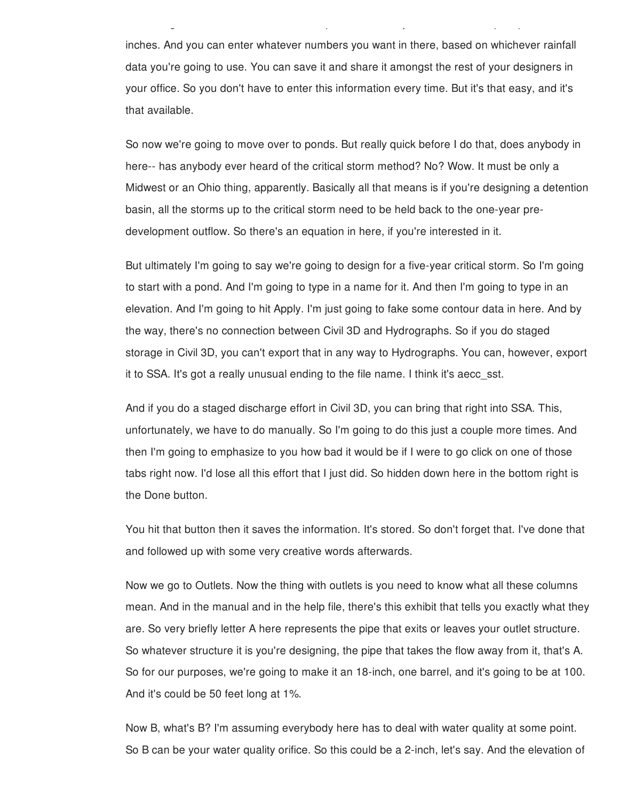inches. And you can enter whatever numbers you want in there, based on whichever rainfall data you're going to use. You can save it and share it amongst the rest of your designers in your office. So you don't have to enter this information every time. But it's that easy, and it's that available.

Now I forgot to mention this button, Precipitation. Here's your SCS 24-hour precipitation in

So now we're going to move over to ponds. But really quick before I do that, does anybody in here-- has anybody ever heard of the critical storm method? No? Wow. It must be only a Midwest or an Ohio thing, apparently. Basically all that means is if you're designing a detention basin, all the storms up to the critical storm need to be held back to the one-year predevelopment outflow. So there's an equation in here, if you're interested in it.

But ultimately I'm going to say we're going to design for a five-year critical storm. So I'm going to start with a pond. And I'm going to type in a name for it. And then I'm going to type in an elevation. And I'm going to hit Apply. I'm just going to fake some contour data in here. And by the way, there's no connection between Civil 3D and Hydrographs. So if you do staged storage in Civil 3D, you can't export that in any way to Hydrographs. You can, however, export it to SSA. It's got a really unusual ending to the file name. I think it's aecc\_sst.

And if you do a staged discharge effort in Civil 3D, you can bring that right into SSA. This, unfortunately, we have to do manually. So I'm going to do this just a couple more times. And then I'm going to emphasize to you how bad it would be if I were to go click on one of those tabs right now. I'd lose all this effort that I just did. So hidden down here in the bottom right is the Done button.

You hit that button then it saves the information. It's stored. So don't forget that. I've done that and followed up with some very creative words afterwards.

Now we go to Outlets. Now the thing with outlets is you need to know what all these columns mean. And in the manual and in the help file, there's this exhibit that tells you exactly what they are. So very briefly letter A here represents the pipe that exits or leaves your outlet structure. So whatever structure it is you're designing, the pipe that takes the flow away from it, that's A. So for our purposes, we're going to make it an 18-inch, one barrel, and it's going to be at 100. And it's could be 50 feet long at 1%.

Now B, what's B? I'm assuming everybody here has to deal with water quality at some point. So B can be your water quality orifice. So this could be a 2-inch, let's say. And the elevation of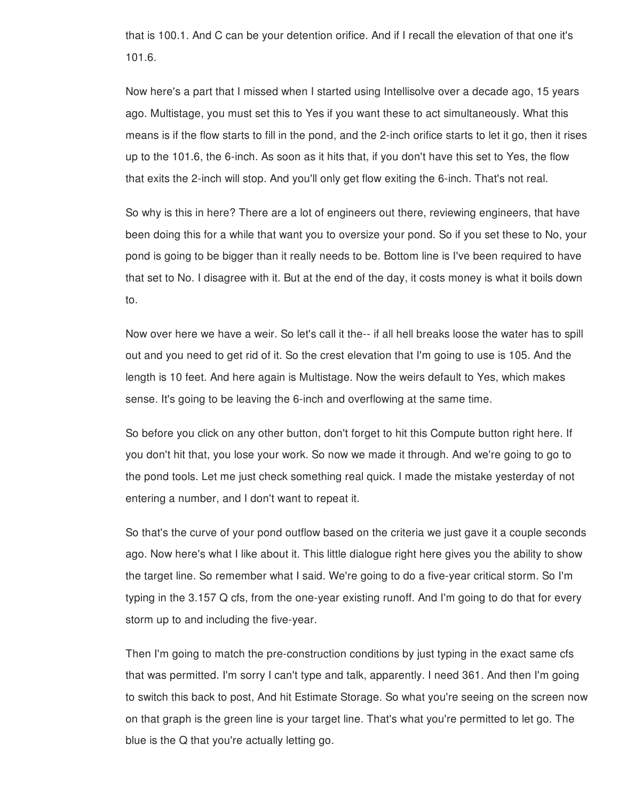that is 100.1. And C can be your detention orifice. And if I recall the elevation of that one it's 101.6.

Now here's a part that I missed when I started using Intellisolve over a decade ago, 15 years ago. Multistage, you must set this to Yes if you want these to act simultaneously. What this means is if the flow starts to fill in the pond, and the 2-inch orifice starts to let it go, then it rises up to the 101.6, the 6-inch. As soon as it hits that, if you don't have this set to Yes, the flow that exits the 2-inch will stop. And you'll only get flow exiting the 6-inch. That's not real.

So why is this in here? There are a lot of engineers out there, reviewing engineers, that have been doing this for a while that want you to oversize your pond. So if you set these to No, your pond is going to be bigger than it really needs to be. Bottom line is I've been required to have that set to No. I disagree with it. But at the end of the day, it costs money is what it boils down to.

Now over here we have a weir. So let's call it the-- if all hell breaks loose the water has to spill out and you need to get rid of it. So the crest elevation that I'm going to use is 105. And the length is 10 feet. And here again is Multistage. Now the weirs default to Yes, which makes sense. It's going to be leaving the 6-inch and overflowing at the same time.

So before you click on any other button, don't forget to hit this Compute button right here. If you don't hit that, you lose your work. So now we made it through. And we're going to go to the pond tools. Let me just check something real quick. I made the mistake yesterday of not entering a number, and I don't want to repeat it.

So that's the curve of your pond outflow based on the criteria we just gave it a couple seconds ago. Now here's what I like about it. This little dialogue right here gives you the ability to show the target line. So remember what I said. We're going to do a five-year critical storm. So I'm typing in the 3.157 Q cfs, from the one-year existing runoff. And I'm going to do that for every storm up to and including the five-year.

Then I'm going to match the pre-construction conditions by just typing in the exact same cfs that was permitted. I'm sorry I can't type and talk, apparently. I need 361. And then I'm going to switch this back to post, And hit Estimate Storage. So what you're seeing on the screen now on that graph is the green line is your target line. That's what you're permitted to let go. The blue is the Q that you're actually letting go.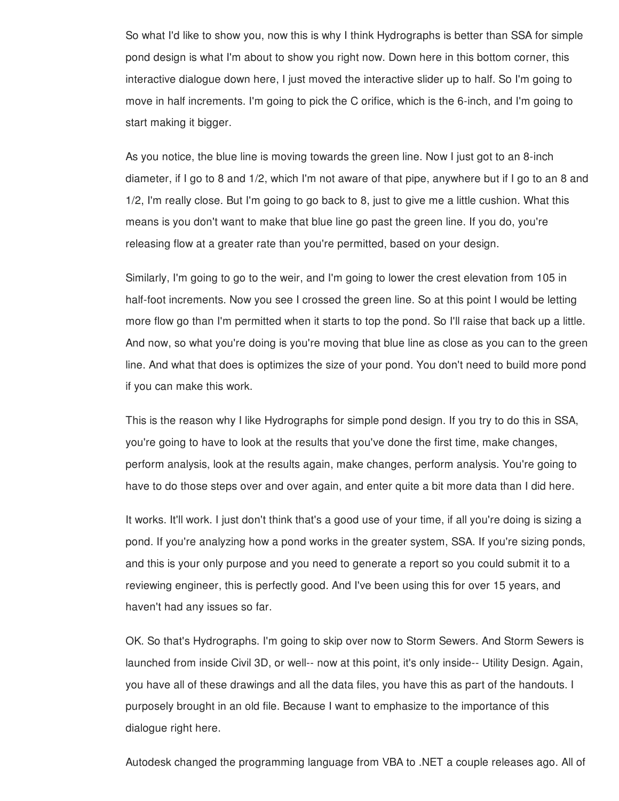So what I'd like to show you, now this is why I think Hydrographs is better than SSA for simple pond design is what I'm about to show you right now. Down here in this bottom corner, this interactive dialogue down here, I just moved the interactive slider up to half. So I'm going to move in half increments. I'm going to pick the C orifice, which is the 6-inch, and I'm going to start making it bigger.

As you notice, the blue line is moving towards the green line. Now I just got to an 8-inch diameter, if I go to 8 and 1/2, which I'm not aware of that pipe, anywhere but if I go to an 8 and 1/2, I'm really close. But I'm going to go back to 8, just to give me a little cushion. What this means is you don't want to make that blue line go past the green line. If you do, you're releasing flow at a greater rate than you're permitted, based on your design.

Similarly, I'm going to go to the weir, and I'm going to lower the crest elevation from 105 in half-foot increments. Now you see I crossed the green line. So at this point I would be letting more flow go than I'm permitted when it starts to top the pond. So I'll raise that back up a little. And now, so what you're doing is you're moving that blue line as close as you can to the green line. And what that does is optimizes the size of your pond. You don't need to build more pond if you can make this work.

This is the reason why I like Hydrographs for simple pond design. If you try to do this in SSA, you're going to have to look at the results that you've done the first time, make changes, perform analysis, look at the results again, make changes, perform analysis. You're going to have to do those steps over and over again, and enter quite a bit more data than I did here.

It works. It'll work. I just don't think that's a good use of your time, if all you're doing is sizing a pond. If you're analyzing how a pond works in the greater system, SSA. If you're sizing ponds, and this is your only purpose and you need to generate a report so you could submit it to a reviewing engineer, this is perfectly good. And I've been using this for over 15 years, and haven't had any issues so far.

OK. So that's Hydrographs. I'm going to skip over now to Storm Sewers. And Storm Sewers is launched from inside Civil 3D, or well-- now at this point, it's only inside-- Utility Design. Again, you have all of these drawings and all the data files, you have this as part of the handouts. I purposely brought in an old file. Because I want to emphasize to the importance of this dialogue right here.

Autodesk changed the programming language from VBA to .NET a couple releases ago. All of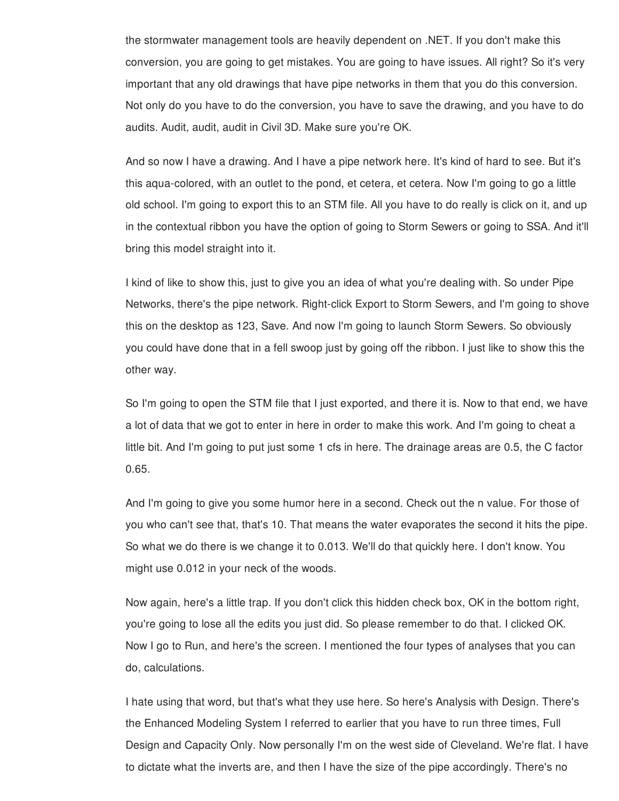the stormwater management tools are heavily dependent on .NET. If you don't make this conversion, you are going to get mistakes. You are going to have issues. All right? So it's very important that any old drawings that have pipe networks in them that you do this conversion. Not only do you have to do the conversion, you have to save the drawing, and you have to do audits. Audit, audit, audit in Civil 3D. Make sure you're OK.

And so now I have a drawing. And I have a pipe network here. It's kind of hard to see. But it's this aqua-colored, with an outlet to the pond, et cetera, et cetera. Now I'm going to go a little old school. I'm going to export this to an STM file. All you have to do really is click on it, and up in the contextual ribbon you have the option of going to Storm Sewers or going to SSA. And it'll bring this model straight into it.

I kind of like to show this, just to give you an idea of what you're dealing with. So under Pipe Networks, there's the pipe network. Right-click Export to Storm Sewers, and I'm going to shove this on the desktop as 123, Save. And now I'm going to launch Storm Sewers. So obviously you could have done that in a fell swoop just by going off the ribbon. I just like to show this the other way.

So I'm going to open the STM file that I just exported, and there it is. Now to that end, we have a lot of data that we got to enter in here in order to make this work. And I'm going to cheat a little bit. And I'm going to put just some 1 cfs in here. The drainage areas are 0.5, the C factor 0.65.

And I'm going to give you some humor here in a second. Check out the n value. For those of you who can't see that, that's 10. That means the water evaporates the second it hits the pipe. So what we do there is we change it to 0.013. We'll do that quickly here. I don't know. You might use 0.012 in your neck of the woods.

Now again, here's a little trap. If you don't click this hidden check box, OK in the bottom right, you're going to lose all the edits you just did. So please remember to do that. I clicked OK. Now I go to Run, and here's the screen. I mentioned the four types of analyses that you can do, calculations.

I hate using that word, but that's what they use here. So here's Analysis with Design. There's the Enhanced Modeling System I referred to earlier that you have to run three times, Full Design and Capacity Only. Now personally I'm on the west side of Cleveland. We're flat. I have to dictate what the inverts are, and then I have the size of the pipe accordingly. There's no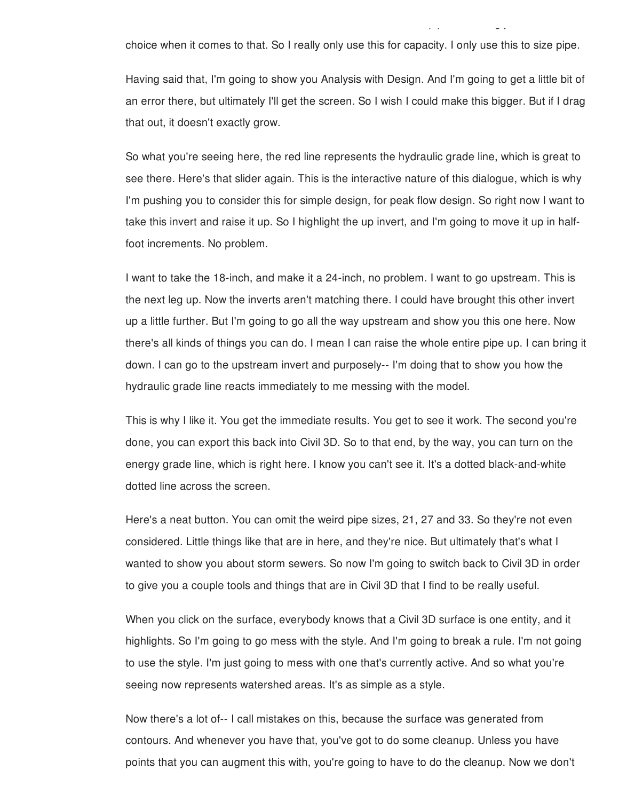choice when it comes to that. So I really only use this for capacity. I only use this to size pipe.

to dictate what the inverts are, and then I have the size of the pipe accordingly. There's no

Having said that, I'm going to show you Analysis with Design. And I'm going to get a little bit of an error there, but ultimately I'll get the screen. So I wish I could make this bigger. But if I drag that out, it doesn't exactly grow.

So what you're seeing here, the red line represents the hydraulic grade line, which is great to see there. Here's that slider again. This is the interactive nature of this dialogue, which is why I'm pushing you to consider this for simple design, for peak flow design. So right now I want to take this invert and raise it up. So I highlight the up invert, and I'm going to move it up in halffoot increments. No problem.

I want to take the 18-inch, and make it a 24-inch, no problem. I want to go upstream. This is the next leg up. Now the inverts aren't matching there. I could have brought this other invert up a little further. But I'm going to go all the way upstream and show you this one here. Now there's all kinds of things you can do. I mean I can raise the whole entire pipe up. I can bring it down. I can go to the upstream invert and purposely-- I'm doing that to show you how the hydraulic grade line reacts immediately to me messing with the model.

This is why I like it. You get the immediate results. You get to see it work. The second you're done, you can export this back into Civil 3D. So to that end, by the way, you can turn on the energy grade line, which is right here. I know you can't see it. It's a dotted black-and-white dotted line across the screen.

Here's a neat button. You can omit the weird pipe sizes, 21, 27 and 33. So they're not even considered. Little things like that are in here, and they're nice. But ultimately that's what I wanted to show you about storm sewers. So now I'm going to switch back to Civil 3D in order to give you a couple tools and things that are in Civil 3D that I find to be really useful.

When you click on the surface, everybody knows that a Civil 3D surface is one entity, and it highlights. So I'm going to go mess with the style. And I'm going to break a rule. I'm not going to use the style. I'm just going to mess with one that's currently active. And so what you're seeing now represents watershed areas. It's as simple as a style.

Now there's a lot of-- I call mistakes on this, because the surface was generated from contours. And whenever you have that, you've got to do some cleanup. Unless you have points that you can augment this with, you're going to have to do the cleanup. Now we don't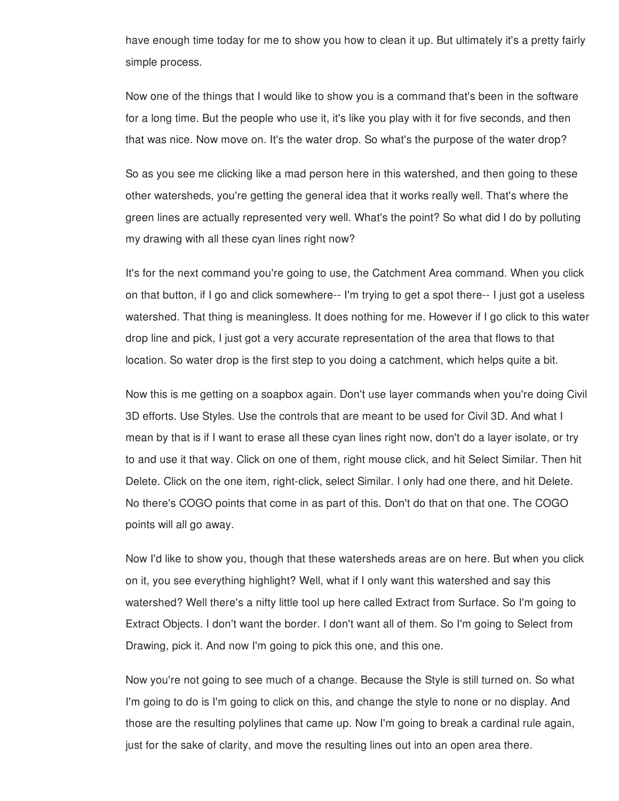have enough time today for me to show you how to clean it up. But ultimately it's a pretty fairly simple process.

Now one of the things that I would like to show you is a command that's been in the software for a long time. But the people who use it, it's like you play with it for five seconds, and then that was nice. Now move on. It's the water drop. So what's the purpose of the water drop?

So as you see me clicking like a mad person here in this watershed, and then going to these other watersheds, you're getting the general idea that it works really well. That's where the green lines are actually represented very well. What's the point? So what did I do by polluting my drawing with all these cyan lines right now?

It's for the next command you're going to use, the Catchment Area command. When you click on that button, if I go and click somewhere-- I'm trying to get a spot there-- I just got a useless watershed. That thing is meaningless. It does nothing for me. However if I go click to this water drop line and pick, I just got a very accurate representation of the area that flows to that location. So water drop is the first step to you doing a catchment, which helps quite a bit.

Now this is me getting on a soapbox again. Don't use layer commands when you're doing Civil 3D efforts. Use Styles. Use the controls that are meant to be used for Civil 3D. And what I mean by that is if I want to erase all these cyan lines right now, don't do a layer isolate, or try to and use it that way. Click on one of them, right mouse click, and hit Select Similar. Then hit Delete. Click on the one item, right-click, select Similar. I only had one there, and hit Delete. No there's COGO points that come in as part of this. Don't do that on that one. The COGO points will all go away.

Now I'd like to show you, though that these watersheds areas are on here. But when you click on it, you see everything highlight? Well, what if I only want this watershed and say this watershed? Well there's a nifty little tool up here called Extract from Surface. So I'm going to Extract Objects. I don't want the border. I don't want all of them. So I'm going to Select from Drawing, pick it. And now I'm going to pick this one, and this one.

Now you're not going to see much of a change. Because the Style is still turned on. So what I'm going to do is I'm going to click on this, and change the style to none or no display. And those are the resulting polylines that came up. Now I'm going to break a cardinal rule again, just for the sake of clarity, and move the resulting lines out into an open area there.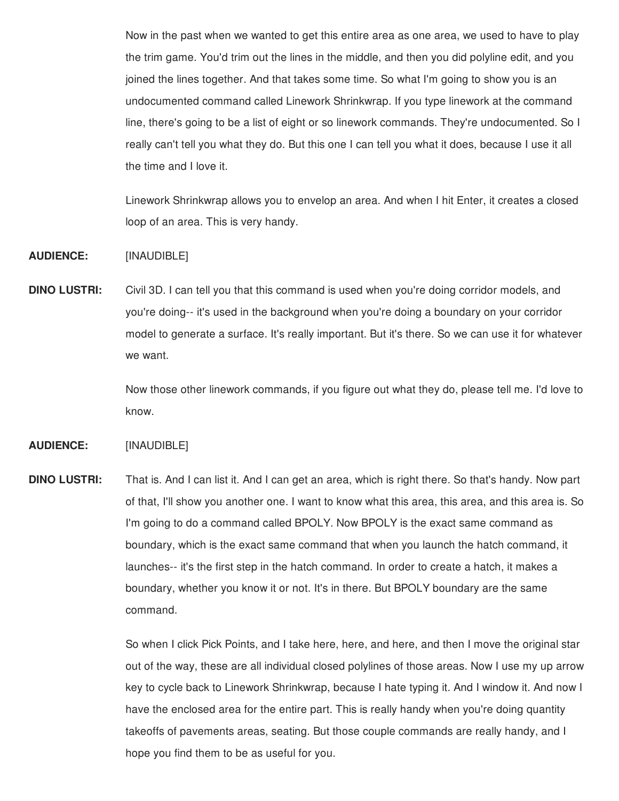Now in the past when we wanted to get this entire area as one area, we used to have to play the trim game. You'd trim out the lines in the middle, and then you did polyline edit, and you joined the lines together. And that takes some time. So what I'm going to show you is an undocumented command called Linework Shrinkwrap. If you type linework at the command line, there's going to be a list of eight or so linework commands. They're undocumented. So I really can't tell you what they do. But this one I can tell you what it does, because I use it all the time and I love it.

Linework Shrinkwrap allows you to envelop an area. And when I hit Enter, it creates a closed loop of an area. This is very handy.

**AUDIENCE:** [INAUDIBLE]

**DINO LUSTRI:** Civil 3D. I can tell you that this command is used when you're doing corridor models, and you're doing-- it's used in the background when you're doing a boundary on your corridor model to generate a surface. It's really important. But it's there. So we can use it for whatever we want.

> Now those other linework commands, if you figure out what they do, please tell me. I'd love to know.

**AUDIENCE:** [INAUDIBLE]

**DINO LUSTRI:** That is. And I can list it. And I can get an area, which is right there. So that's handy. Now part of that, I'll show you another one. I want to know what this area, this area, and this area is. So I'm going to do a command called BPOLY. Now BPOLY is the exact same command as boundary, which is the exact same command that when you launch the hatch command, it launches-- it's the first step in the hatch command. In order to create a hatch, it makes a boundary, whether you know it or not. It's in there. But BPOLY boundary are the same command.

> So when I click Pick Points, and I take here, here, and here, and then I move the original star out of the way, these are all individual closed polylines of those areas. Now I use my up arrow key to cycle back to Linework Shrinkwrap, because I hate typing it. And I window it. And now I have the enclosed area for the entire part. This is really handy when you're doing quantity takeoffs of pavements areas, seating. But those couple commands are really handy, and I hope you find them to be as useful for you.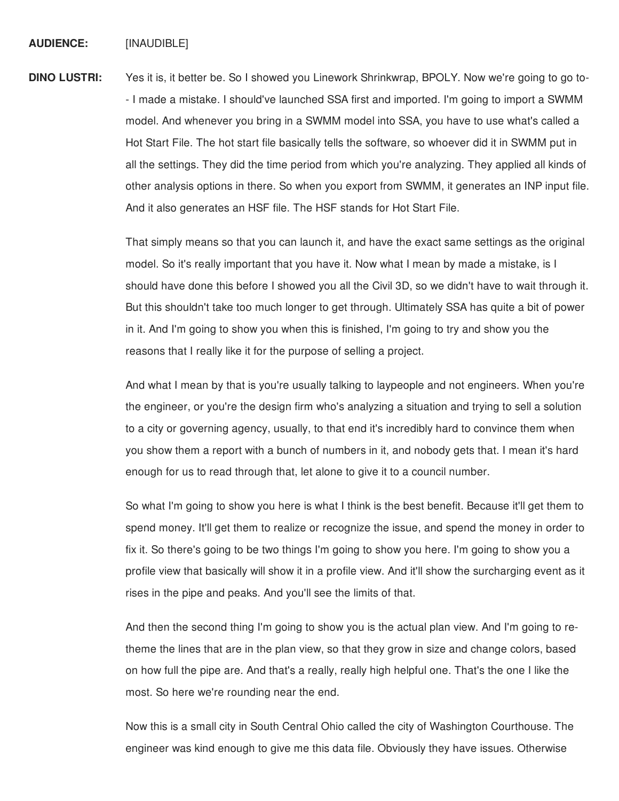## **AUDIENCE:** [INAUDIBLE]

**DINO LUSTRI:** Yes it is, it better be. So I showed you Linework Shrinkwrap, BPOLY. Now we're going to go to- - I made a mistake. I should've launched SSA first and imported. I'm going to import a SWMM model. And whenever you bring in a SWMM model into SSA, you have to use what's called a Hot Start File. The hot start file basically tells the software, so whoever did it in SWMM put in all the settings. They did the time period from which you're analyzing. They applied all kinds of other analysis options in there. So when you export from SWMM, it generates an INP input file. And it also generates an HSF file. The HSF stands for Hot Start File.

> That simply means so that you can launch it, and have the exact same settings as the original model. So it's really important that you have it. Now what I mean by made a mistake, is I should have done this before I showed you all the Civil 3D, so we didn't have to wait through it. But this shouldn't take too much longer to get through. Ultimately SSA has quite a bit of power in it. And I'm going to show you when this is finished, I'm going to try and show you the reasons that I really like it for the purpose of selling a project.

> And what I mean by that is you're usually talking to laypeople and not engineers. When you're the engineer, or you're the design firm who's analyzing a situation and trying to sell a solution to a city or governing agency, usually, to that end it's incredibly hard to convince them when you show them a report with a bunch of numbers in it, and nobody gets that. I mean it's hard enough for us to read through that, let alone to give it to a council number.

> So what I'm going to show you here is what I think is the best benefit. Because it'll get them to spend money. It'll get them to realize or recognize the issue, and spend the money in order to fix it. So there's going to be two things I'm going to show you here. I'm going to show you a profile view that basically will show it in a profile view. And it'll show the surcharging event as it rises in the pipe and peaks. And you'll see the limits of that.

And then the second thing I'm going to show you is the actual plan view. And I'm going to retheme the lines that are in the plan view, so that they grow in size and change colors, based on how full the pipe are. And that's a really, really high helpful one. That's the one I like the most. So here we're rounding near the end.

Now this is a small city in South Central Ohio called the city of Washington Courthouse. The engineer was kind enough to give me this data file. Obviously they have issues. Otherwise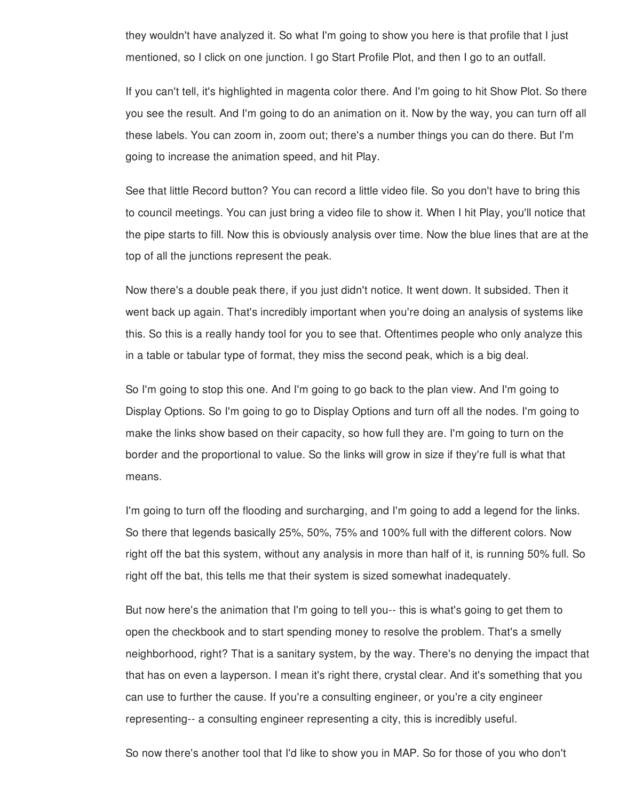they wouldn't have analyzed it. So what I'm going to show you here is that profile that I just mentioned, so I click on one junction. I go Start Profile Plot, and then I go to an outfall.

If you can't tell, it's highlighted in magenta color there. And I'm going to hit Show Plot. So there you see the result. And I'm going to do an animation on it. Now by the way, you can turn off all these labels. You can zoom in, zoom out; there's a number things you can do there. But I'm going to increase the animation speed, and hit Play.

See that little Record button? You can record a little video file. So you don't have to bring this to council meetings. You can just bring a video file to show it. When I hit Play, you'll notice that the pipe starts to fill. Now this is obviously analysis over time. Now the blue lines that are at the top of all the junctions represent the peak.

Now there's a double peak there, if you just didn't notice. It went down. It subsided. Then it went back up again. That's incredibly important when you're doing an analysis of systems like this. So this is a really handy tool for you to see that. Oftentimes people who only analyze this in a table or tabular type of format, they miss the second peak, which is a big deal.

So I'm going to stop this one. And I'm going to go back to the plan view. And I'm going to Display Options. So I'm going to go to Display Options and turn off all the nodes. I'm going to make the links show based on their capacity, so how full they are. I'm going to turn on the border and the proportional to value. So the links will grow in size if they're full is what that means.

I'm going to turn off the flooding and surcharging, and I'm going to add a legend for the links. So there that legends basically 25%, 50%, 75% and 100% full with the different colors. Now right off the bat this system, without any analysis in more than half of it, is running 50% full. So right off the bat, this tells me that their system is sized somewhat inadequately.

But now here's the animation that I'm going to tell you-- this is what's going to get them to open the checkbook and to start spending money to resolve the problem. That's a smelly neighborhood, right? That is a sanitary system, by the way. There's no denying the impact that that has on even a layperson. I mean it's right there, crystal clear. And it's something that you can use to further the cause. If you're a consulting engineer, or you're a city engineer representing-- a consulting engineer representing a city, this is incredibly useful.

So now there's another tool that I'd like to show you in MAP. So for those of you who don't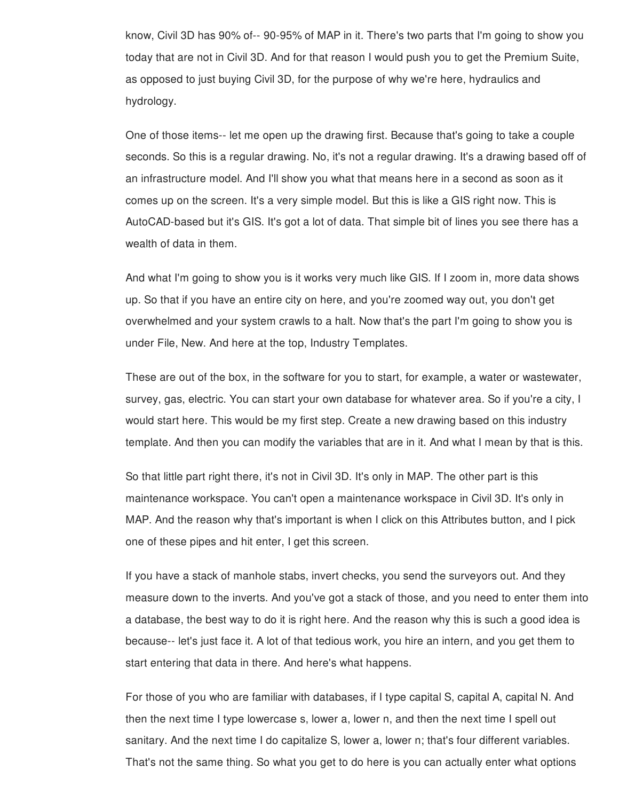know, Civil 3D has 90% of-- 90-95% of MAP in it. There's two parts that I'm going to show you today that are not in Civil 3D. And for that reason I would push you to get the Premium Suite, as opposed to just buying Civil 3D, for the purpose of why we're here, hydraulics and hydrology.

One of those items-- let me open up the drawing first. Because that's going to take a couple seconds. So this is a regular drawing. No, it's not a regular drawing. It's a drawing based off of an infrastructure model. And I'll show you what that means here in a second as soon as it comes up on the screen. It's a very simple model. But this is like a GIS right now. This is AutoCAD-based but it's GIS. It's got a lot of data. That simple bit of lines you see there has a wealth of data in them.

And what I'm going to show you is it works very much like GIS. If I zoom in, more data shows up. So that if you have an entire city on here, and you're zoomed way out, you don't get overwhelmed and your system crawls to a halt. Now that's the part I'm going to show you is under File, New. And here at the top, Industry Templates.

These are out of the box, in the software for you to start, for example, a water or wastewater, survey, gas, electric. You can start your own database for whatever area. So if you're a city, I would start here. This would be my first step. Create a new drawing based on this industry template. And then you can modify the variables that are in it. And what I mean by that is this.

So that little part right there, it's not in Civil 3D. It's only in MAP. The other part is this maintenance workspace. You can't open a maintenance workspace in Civil 3D. It's only in MAP. And the reason why that's important is when I click on this Attributes button, and I pick one of these pipes and hit enter, I get this screen.

If you have a stack of manhole stabs, invert checks, you send the surveyors out. And they measure down to the inverts. And you've got a stack of those, and you need to enter them into a database, the best way to do it is right here. And the reason why this is such a good idea is because-- let's just face it. A lot of that tedious work, you hire an intern, and you get them to start entering that data in there. And here's what happens.

For those of you who are familiar with databases, if I type capital S, capital A, capital N. And then the next time I type lowercase s, lower a, lower n, and then the next time I spell out sanitary. And the next time I do capitalize S, lower a, lower n; that's four different variables. That's not the same thing. So what you get to do here is you can actually enter what options